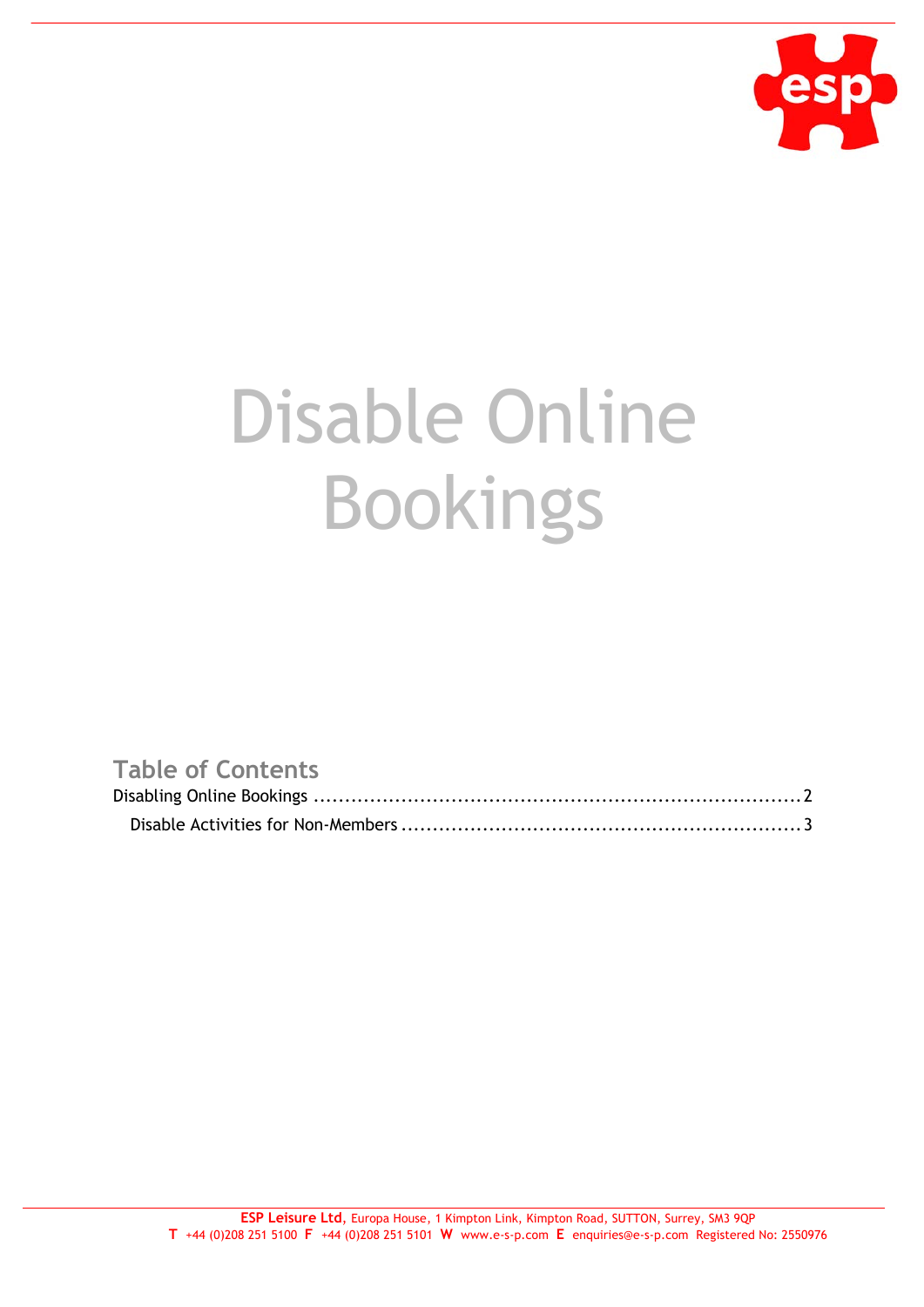

## Disable Online Bookings

## **Table of Contents**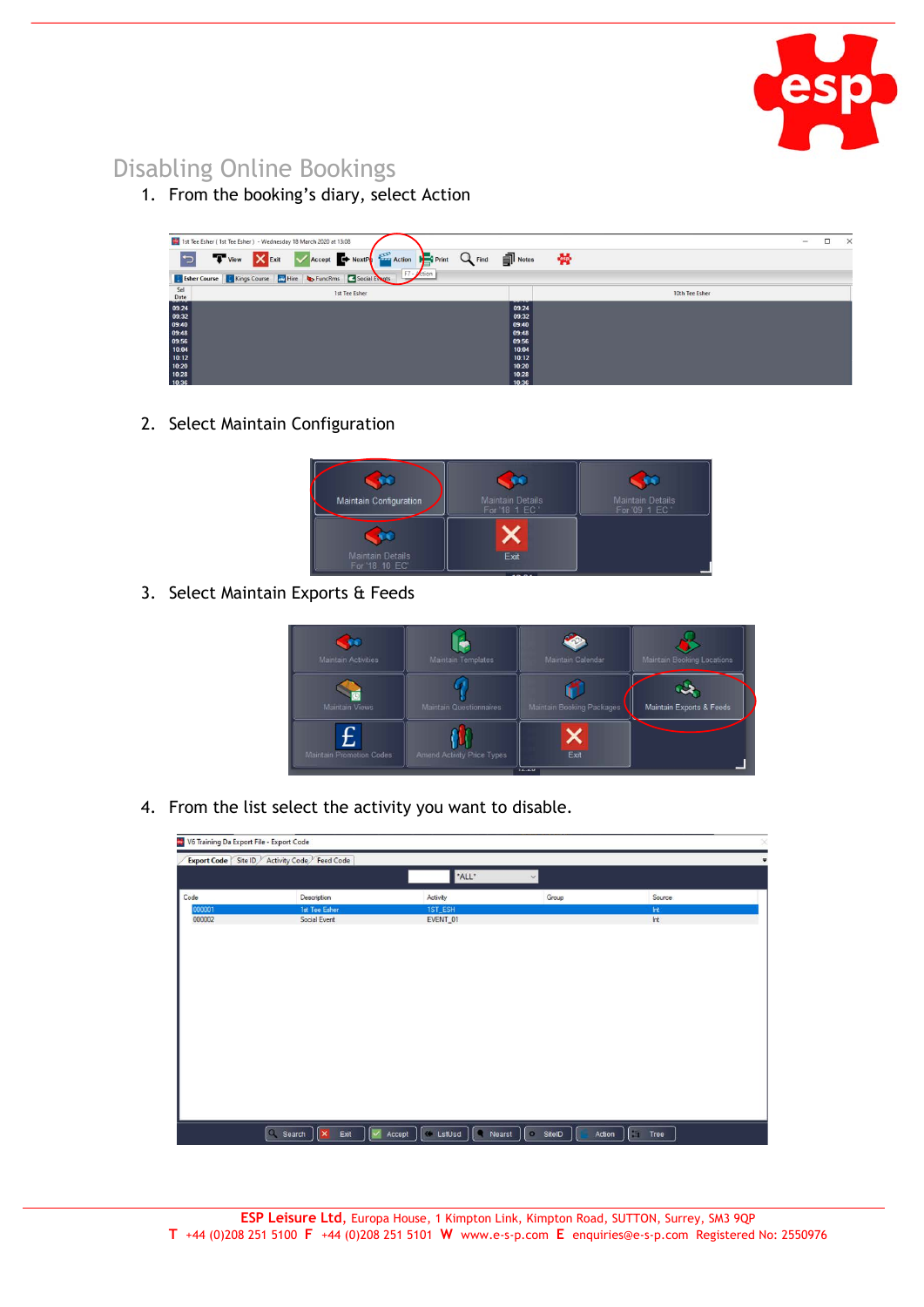

## Disabling Online Bookings

1. From the booking's diary, select Action

|                | 1st Tee Esher (1st Tee Esher) - Wednesday 18 March 2020 at 13:08                                      |                              |                | $\Box$<br>$\equiv$ | $\times$ |
|----------------|-------------------------------------------------------------------------------------------------------|------------------------------|----------------|--------------------|----------|
|                | <b>D</b> T View X Exit V Accept <b>O</b> NextP <b>REGISTARY</b> Action <b>Property Q Find P</b> Notes |                              | 曇              |                    |          |
|                | Esher Course   Kings Course   Hire   b FuncRms   Social Exats   F7 - tion                             |                              |                |                    |          |
| Sel<br>Date    | 1st Tee Esher                                                                                         |                              | 10th Tee Esher |                    |          |
| 09:24          |                                                                                                       | <b>National Art</b><br>09:24 |                |                    |          |
| 09:32<br>09:40 |                                                                                                       | 09:32<br>09:40               |                |                    |          |
| 09:48          |                                                                                                       | 09.48                        |                |                    |          |
| 09:56<br>10:04 |                                                                                                       | 09.56<br>10:04               |                |                    |          |
| 10:12          |                                                                                                       | 10:12                        |                |                    |          |
| 10:20<br>10:28 |                                                                                                       | 10.20<br>10:28               |                |                    |          |
| 10:36          |                                                                                                       | 10:36                        |                |                    |          |

2. Select Maintain Configuration

| <b>Maintain Details</b><br>For '18 1 EC ' | <b>Maintain Details</b><br>For '09 1 EC' |
|-------------------------------------------|------------------------------------------|
|                                           |                                          |
| Exit                                      |                                          |
|                                           | $\overline{AB}$                          |

3. Select Maintain Exports & Feeds

| <b>Maintain Activities</b> | Maintain Templates             | Maintain Calendar         | Maintain Booking Locations |
|----------------------------|--------------------------------|---------------------------|----------------------------|
| Maintain Views             | <b>Maintain Questionnaires</b> | Maintain Booking Packages | Maintain Exports & Feeds   |
| Maintain Promotion Codes   | Amend Activity Price Types     | Exit                      |                            |

4. From the list select the activity you want to disable.

|        | Export Code Site ID Activity Code Feed Code |                           |                    |        |
|--------|---------------------------------------------|---------------------------|--------------------|--------|
|        |                                             | *ALL*                     | $\vee$             |        |
| Code   | Description                                 | Activity                  | Group              | Source |
| 000001 | 1st Tee Esher                               | 1ST_ESH                   |                    | Int    |
| 000002 | Social Event                                | EVENT_01                  |                    | Int    |
|        |                                             |                           |                    |        |
|        |                                             |                           |                    |        |
|        |                                             |                           |                    |        |
|        |                                             |                           |                    |        |
|        |                                             |                           |                    |        |
|        | Q Search<br>◛<br>$\ \mathbf{x}\ $ Exit      | CustUsd CNearst<br>Accept | o SitelD<br>Action | Tree   |